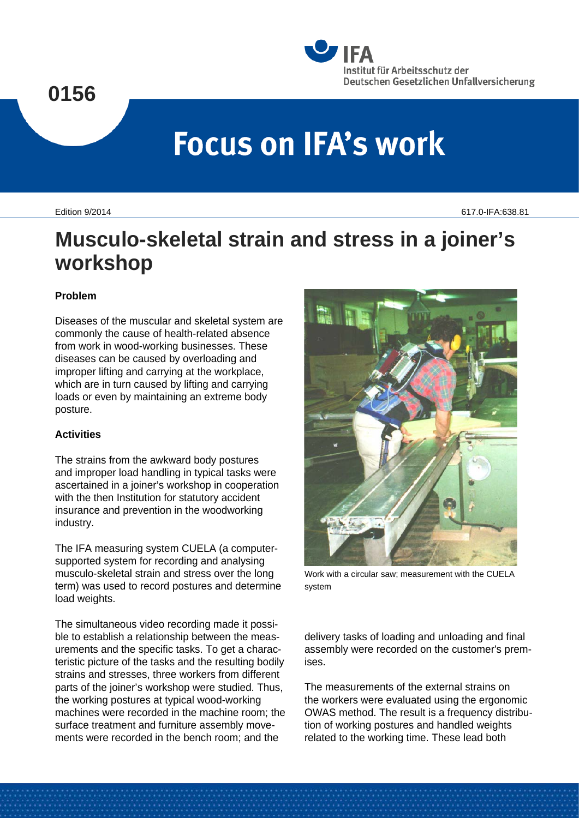# **0156**



# **Focus on IFA's work**

Edition 9/2014 617.0-IFA:638.81

# **Musculo-skeletal strain and stress in a joiner's workshop**

## **Problem**

Diseases of the muscular and skeletal system are commonly the cause of health-related absence from work in wood-working businesses. These diseases can be caused by overloading and improper lifting and carrying at the workplace, which are in turn caused by lifting and carrying loads or even by maintaining an extreme body posture.

# **Activities**

The strains from the awkward body postures and improper load handling in typical tasks were ascertained in a joiner's workshop in cooperation with the then Institution for statutory accident insurance and prevention in the woodworking industry.

The IFA measuring system CUELA (a computersupported system for recording and analysing musculo-skeletal strain and stress over the long term) was used to record postures and determine load weights.

The simultaneous video recording made it possible to establish a relationship between the measurements and the specific tasks. To get a characteristic picture of the tasks and the resulting bodily strains and stresses, three workers from different parts of the joiner's workshop were studied. Thus, the working postures at typical wood-working machines were recorded in the machine room; the surface treatment and furniture assembly movements were recorded in the bench room; and the



Work with a circular saw; measurement with the CUELA system

delivery tasks of loading and unloading and final assembly were recorded on the customer's premises.

The measurements of the external strains on the workers were evaluated using the ergonomic OWAS method. The result is a frequency distribution of working postures and handled weights related to the working time. These lead both